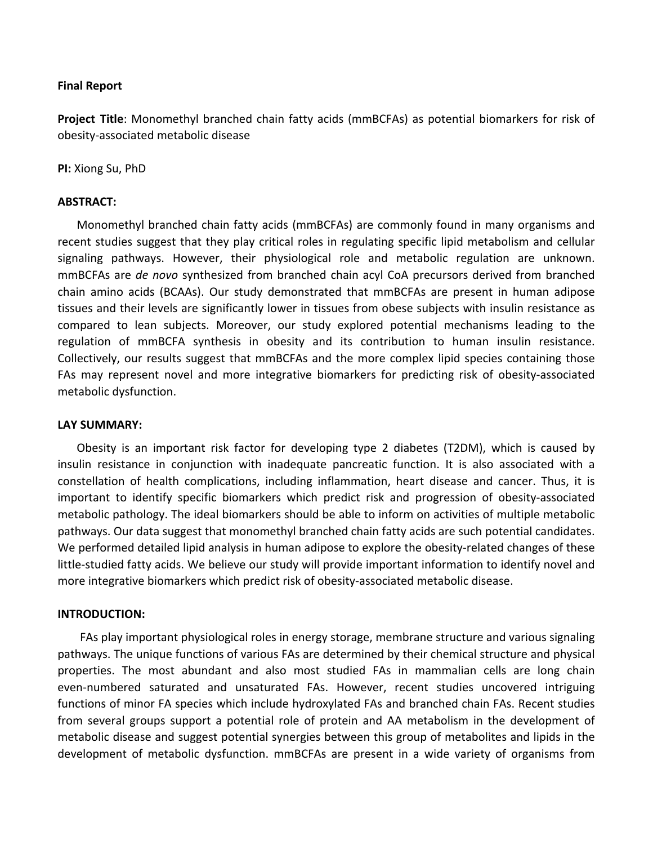# **Final Report**

**Project Title**: Monomethyl branched chain fatty acids (mmBCFAs) as potential biomarkers for risk of obesity-associated metabolic disease

**PI:** Xiong Su, PhD

# **ABSTRACT:**

Monomethyl branched chain fatty acids (mmBCFAs) are commonly found in many organisms and recent studies suggest that they play critical roles in regulating specific lipid metabolism and cellular signaling pathways. However, their physiological role and metabolic regulation are unknown. mmBCFAs are *de novo* synthesized from branched chain acyl CoA precursors derived from branched chain amino acids (BCAAs). Our study demonstrated that mmBCFAs are present in human adipose tissues and their levels are significantly lower in tissues from obese subjects with insulin resistance as compared to lean subjects. Moreover, our study explored potential mechanisms leading to the regulation of mmBCFA synthesis in obesity and its contribution to human insulin resistance. Collectively, our results suggest that mmBCFAs and the more complex lipid species containing those FAs may represent novel and more integrative biomarkers for predicting risk of obesity-associated metabolic dysfunction.

# **LAY SUMMARY:**

Obesity is an important risk factor for developing type 2 diabetes (T2DM), which is caused by insulin resistance in conjunction with inadequate pancreatic function. It is also associated with a constellation of health complications, including inflammation, heart disease and cancer. Thus, it is important to identify specific biomarkers which predict risk and progression of obesity-associated metabolic pathology. The ideal biomarkers should be able to inform on activities of multiple metabolic pathways. Our data suggest that monomethyl branched chain fatty acids are such potential candidates. We performed detailed lipid analysis in human adipose to explore the obesity-related changes of these little-studied fatty acids. We believe our study will provide important information to identify novel and more integrative biomarkers which predict risk of obesity-associated metabolic disease.

## **INTRODUCTION:**

FAs play important physiological roles in energy storage, membrane structure and various signaling pathways. The unique functions of various FAs are determined by their chemical structure and physical properties. The most abundant and also most studied FAs in mammalian cells are long chain even-numbered saturated and unsaturated FAs. However, recent studies uncovered intriguing functions of minor FA species which include hydroxylated FAs and branched chain FAs. Recent studies from several groups support a potential role of protein and AA metabolism in the development of metabolic disease and suggest potential synergies between this group of metabolites and lipids in the development of metabolic dysfunction. mmBCFAs are present in a wide variety of organisms from